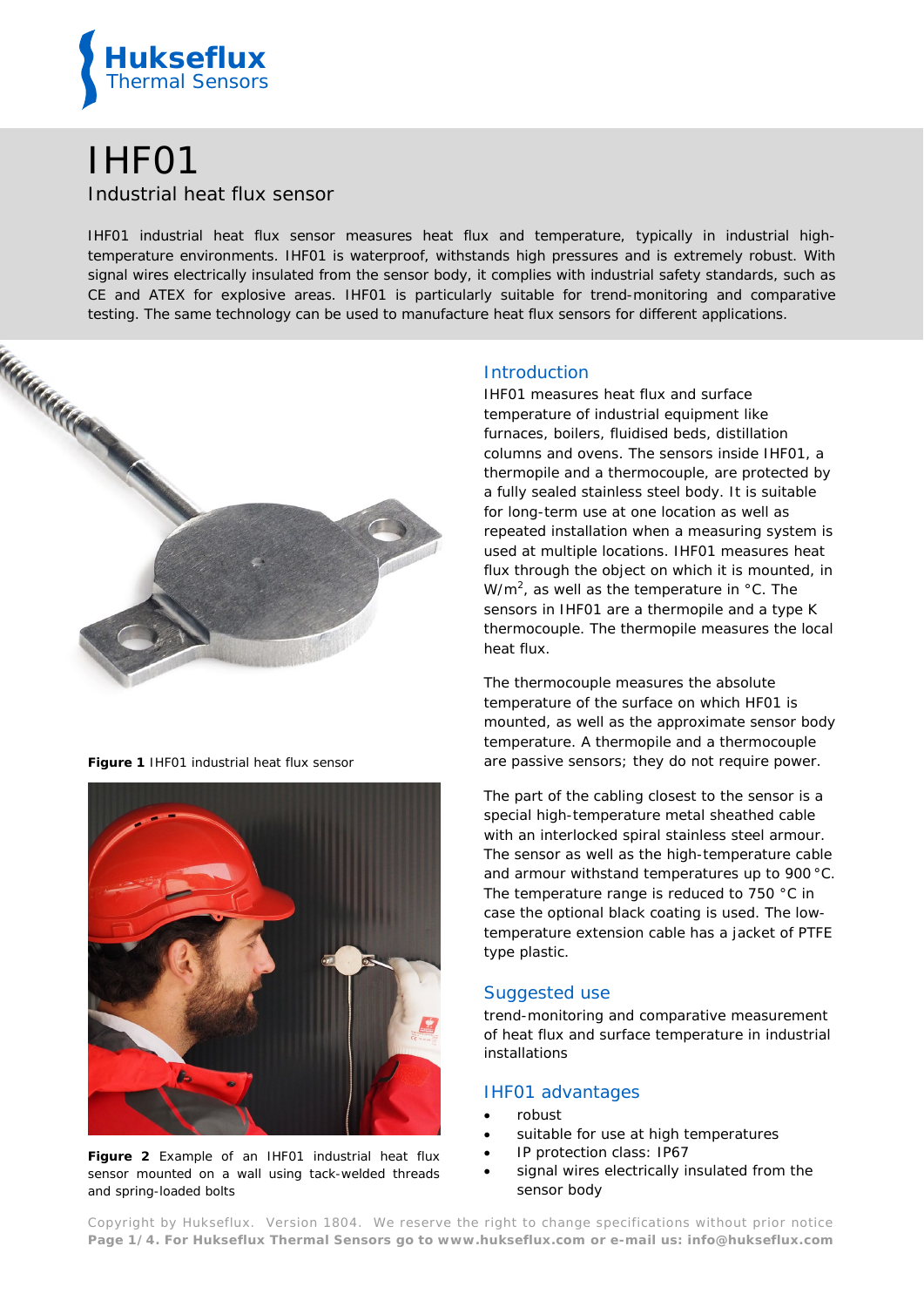

# IHF01 Industrial heat flux sensor

*IHF01 industrial heat flux sensor measures heat flux and temperature, typically in industrial hightemperature environments. IHF01 is waterproof, withstands high pressures and is extremely robust. With signal wires electrically insulated from the sensor body, it complies with industrial safety standards, such as CE and ATEX for explosive areas. IHF01 is particularly suitable for trend-monitoring and comparative testing. The same technology can be used to manufacture heat flux sensors for different applications.* 



**Figure 1** *IHF01 industrial heat flux sensor*



**Figure 2** *Example of an IHF01 industrial heat flux sensor mounted on a wall using tack-welded threads and spring-loaded bolts*

## **Introduction**

IHF01 measures heat flux and surface temperature of industrial equipment like furnaces, boilers, fluidised beds, distillation columns and ovens. The sensors inside IHF01, a thermopile and a thermocouple, are protected by a fully sealed stainless steel body. It is suitable for long-term use at one location as well as repeated installation when a measuring system is used at multiple locations. IHF01 measures heat flux through the object on which it is mounted, in W/m<sup>2</sup>, as well as the temperature in  $\degree$ C. The sensors in IHF01 are a thermopile and a type K thermocouple. The thermopile measures the local heat flux.

The thermocouple measures the absolute temperature of the surface on which HF01 is mounted, as well as the approximate sensor body temperature. A thermopile and a thermocouple are passive sensors; they do not require power.

The part of the cabling closest to the sensor is a special high-temperature metal sheathed cable with an interlocked spiral stainless steel armour. The sensor as well as the high-temperature cable and armour withstand temperatures up to 900 °C. The temperature range is reduced to 750 °C in case the optional black coating is used. The lowtemperature extension cable has a jacket of PTFE type plastic.

# Suggested use

trend-monitoring and comparative measurement of heat flux and surface temperature in industrial installations

# IHF01 advantages

- robust
- suitable for use at high temperatures
- IP protection class: IP67
- signal wires electrically insulated from the sensor body

Copyright by Hukseflux. Version 1804. We reserve the right to change specifications without prior notice **Page 1/4. For Hukseflux Thermal Sensors go to [www.hukseflux.com](http://www.hukseflux.com/) or e-mail us: [info@hukseflux.com](mailto:info@hukseflux.com?subject=brochure)**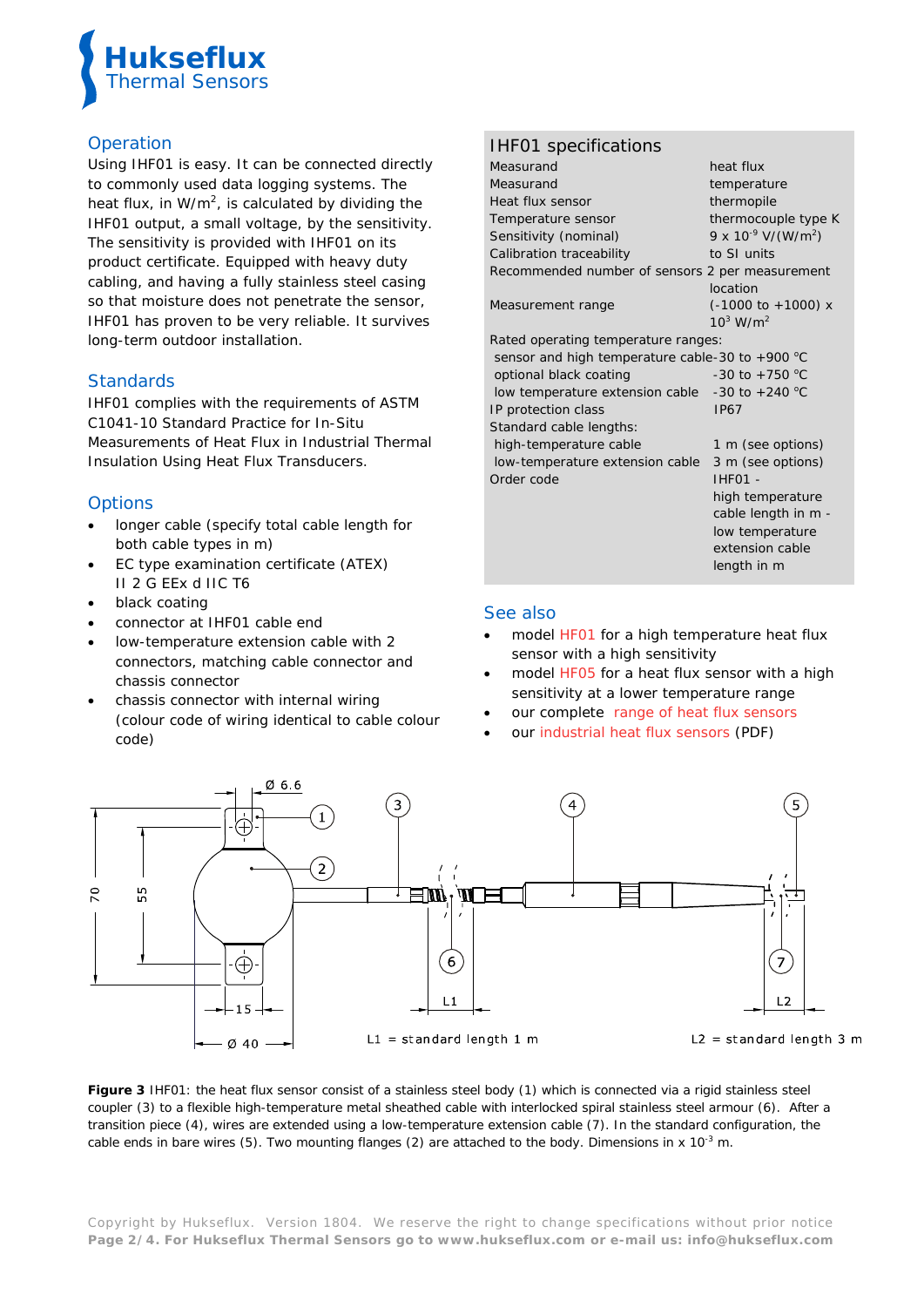

# **Operation**

Using IHF01 is easy. It can be connected directly to commonly used data logging systems. The heat flux, in  $W/m^2$ , is calculated by dividing the IHF01 output, a small voltage, by the sensitivity. The sensitivity is provided with IHF01 on its product certificate. Equipped with heavy duty cabling, and having a fully stainless steel casing so that moisture does not penetrate the sensor, IHF01 has proven to be very reliable. It survives long-term outdoor installation.

# **Standards**

IHF01 complies with the requirements of ASTM C1041-10 Standard Practice for In-Situ Measurements of Heat Flux in Industrial Thermal Insulation Using Heat Flux Transducers.

# **Options**

- longer cable (specify total cable length for both cable types in m)
- EC type examination certificate (ATEX) II 2 G EEx d IIC T6
- black coating
- connector at IHF01 cable end
- low-temperature extension cable with 2 connectors, matching cable connector and chassis connector
- chassis connector with internal wiring (colour code of wiring identical to cable colour code)

# IHF01 specifications

| Measurand                                          | heat flux                           |
|----------------------------------------------------|-------------------------------------|
| Measurand                                          | temperature                         |
| Heat flux sensor                                   | thermopile                          |
| Temperature sensor                                 | thermocouple type K                 |
| Sensitivity (nominal)                              | 9 x $10^{-9}$ V/(W/m <sup>2</sup> ) |
| Calibration traceability                           | to SI units                         |
| Recommended number of sensors 2 per measurement    |                                     |
|                                                    | location                            |
| Measurement range                                  | $(-1000 \text{ to } +1000) \times$  |
|                                                    | $10^3$ W/m <sup>2</sup>             |
| Rated operating temperature ranges:                |                                     |
| sensor and high temperature cable-30 to +900 °C    |                                     |
| optional black coating                             | -30 to +750 $^{\circ}$ C            |
| low temperature extension cable $-30$ to $+240$ °C |                                     |
| IP protection class                                | <b>IP67</b>                         |
| Standard cable lengths:                            |                                     |
| high-temperature cable                             | 1 m (see options)                   |
| low-temperature extension cable                    | 3 m (see options)                   |
| Order code                                         | IHF01 -                             |
|                                                    | high temperature                    |
|                                                    | cable length in m -                 |
|                                                    | low temperature                     |
|                                                    | extension cable                     |
|                                                    | length in m                         |
|                                                    |                                     |

## See also

- model [HF01](http://www.hukseflux.com/product/hf01) for a high temperature heat flux sensor with a high sensitivity
- model [HF05](https://www.hukseflux.com/product/hf05) for a heat flux sensor with a high sensitivity at a lower temperature range
- our complete range of heat flux sensors
- our [industrial heat flux sensors \(PDF\)](http://www.hukseflux.com/product_group/heat-flux-sensors)



**Figure 3** *IHF01: the heat flux sensor consist of a stainless steel body (1) which is connected via a rigid stainless steel coupler (3) to a flexible high-temperature metal sheathed cable with interlocked spiral stainless steel armour (6). After a transition piece (4), wires are extended using a low-temperature extension cable (7). In the standard configuration, the cable ends in bare wires (5). Two mounting flanges (2) are attached to the body. Dimensions in x 10-3 m.*

Copyright by Hukseflux. Version 1804. We reserve the right to change specifications without prior notice **Page 2/4. For Hukseflux Thermal Sensors go to [www.hukseflux.com](http://www.hukseflux.com/) or e-mail us: [info@hukseflux.com](mailto:info@hukseflux.com?subject=brochure)**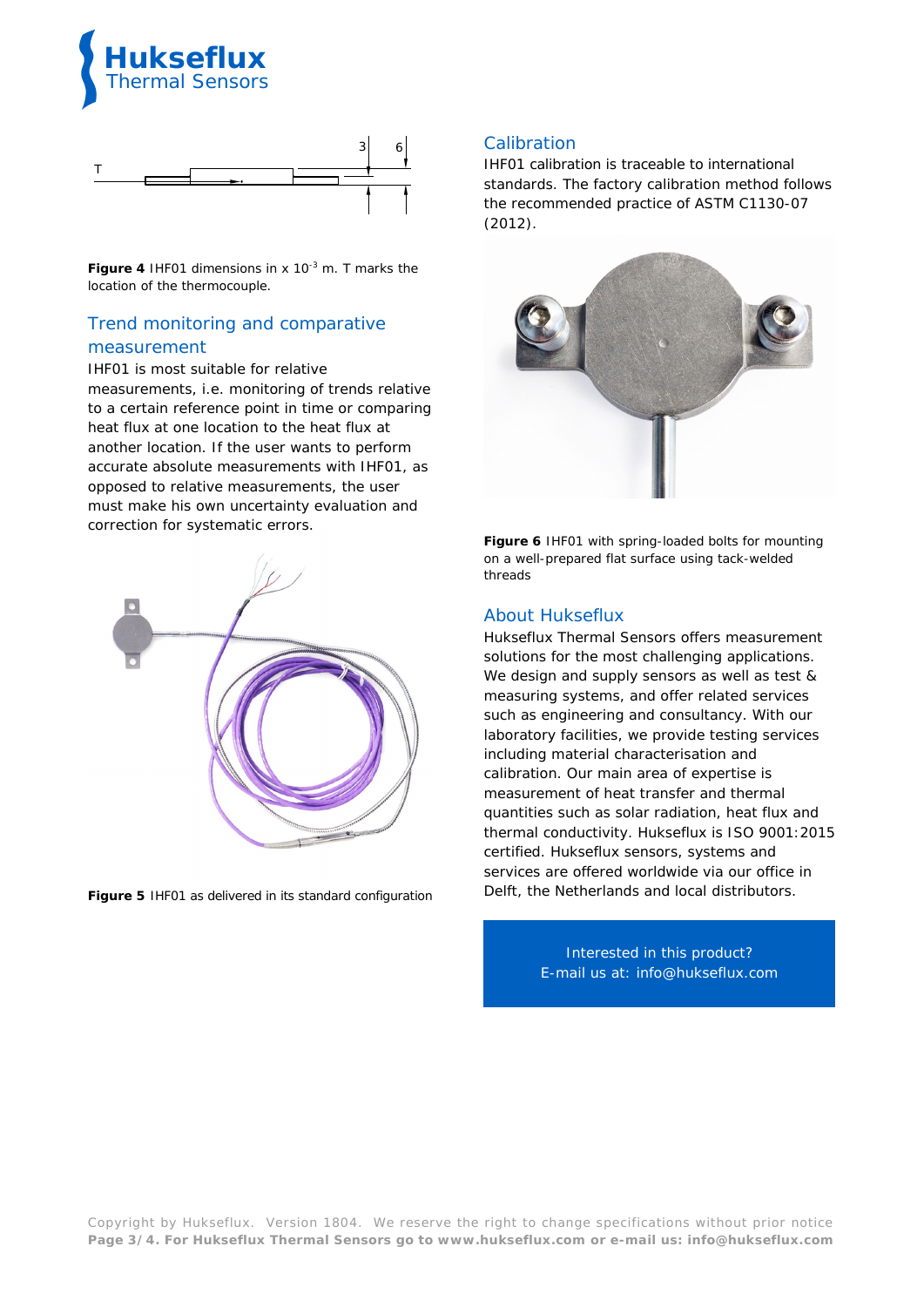



**Figure 4** *IHF01* dimensions in x  $10^{-3}$  m. T marks the *location of the thermocouple.*

# Trend monitoring and comparative measurement

IHF01 is most suitable for relative measurements, i.e. monitoring of trends relative to a certain reference point in time or comparing heat flux at one location to the heat flux at another location. If the user wants to perform accurate absolute measurements with IHF01, as opposed to relative measurements, the user must make his own uncertainty evaluation and correction for systematic errors.



**Figure 5** *IHF01 as delivered in its standard configuration*

## **Calibration**

IHF01 calibration is traceable to international standards. The factory calibration method follows the recommended practice of ASTM C1130-07 (2012).



**Figure 6** *IHF01 with spring-loaded bolts for mounting on a well-prepared flat surface using tack-welded threads*

## About Hukseflux

Hukseflux Thermal Sensors offers measurement solutions for the most challenging applications. We design and supply sensors as well as test & measuring systems, and offer related services such as engineering and consultancy. With our laboratory facilities, we provide testing services including material characterisation and calibration. Our main area of expertise is measurement of heat transfer and thermal quantities such as solar radiation, heat flux and thermal conductivity. Hukseflux is ISO 9001:2015 certified. Hukseflux sensors, systems and services are offered worldwide via our office in Delft, the Netherlands and local distributors.

> Interested in this product? E-mail us at: [info@hukseflux.com](mailto:info@hukseflux.com?subject=brochure)